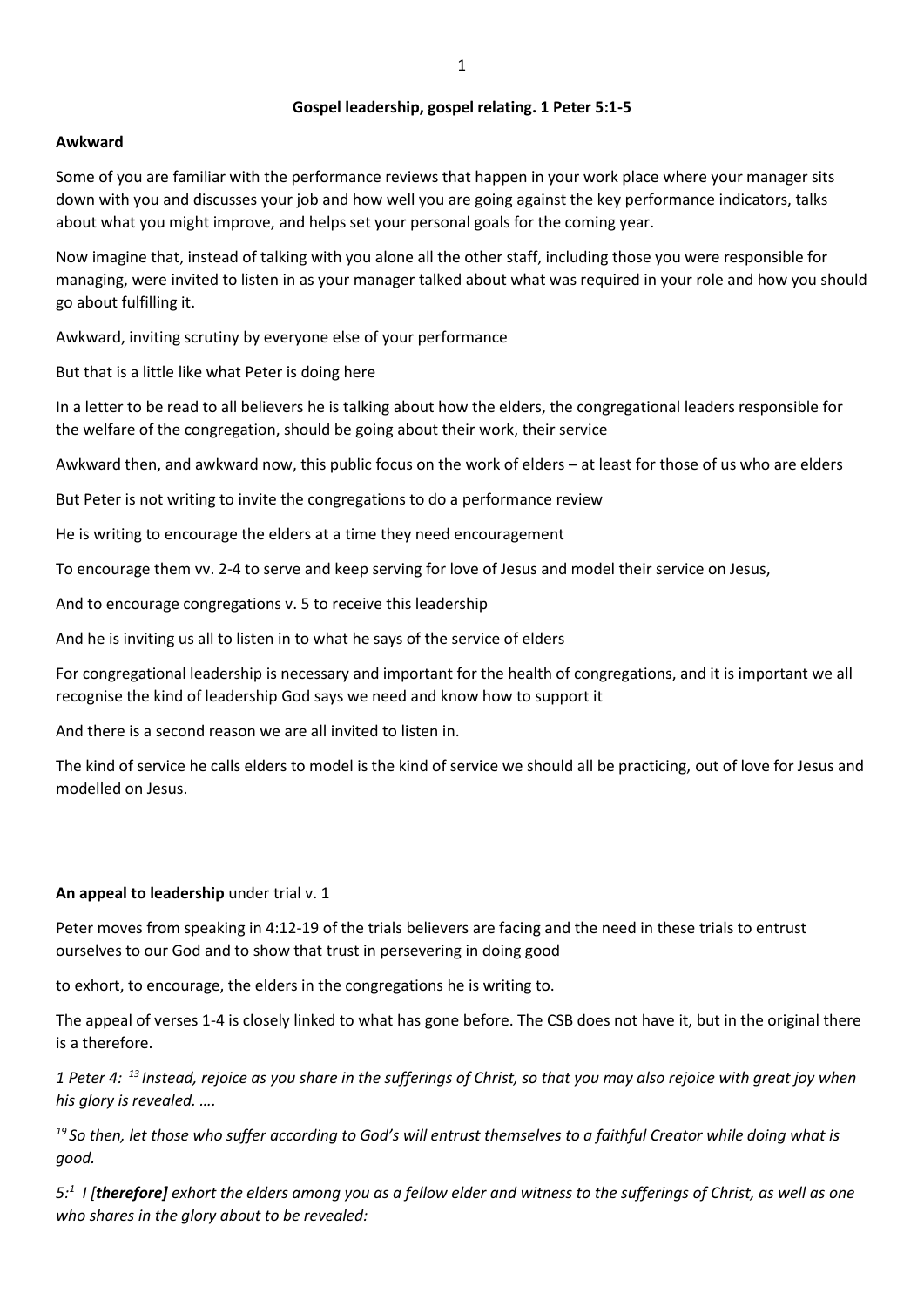## **Gospel leadership, gospel relating. 1 Peter 5:1-5**

#### **Awkward**

Some of you are familiar with the performance reviews that happen in your work place where your manager sits down with you and discusses your job and how well you are going against the key performance indicators, talks about what you might improve, and helps set your personal goals for the coming year.

Now imagine that, instead of talking with you alone all the other staff, including those you were responsible for managing, were invited to listen in as your manager talked about what was required in your role and how you should go about fulfilling it.

Awkward, inviting scrutiny by everyone else of your performance

But that is a little like what Peter is doing here

In a letter to be read to all believers he is talking about how the elders, the congregational leaders responsible for the welfare of the congregation, should be going about their work, their service

Awkward then, and awkward now, this public focus on the work of elders – at least for those of us who are elders

But Peter is not writing to invite the congregations to do a performance review

He is writing to encourage the elders at a time they need encouragement

To encourage them vv. 2-4 to serve and keep serving for love of Jesus and model their service on Jesus,

And to encourage congregations v. 5 to receive this leadership

And he is inviting us all to listen in to what he says of the service of elders

For congregational leadership is necessary and important for the health of congregations, and it is important we all recognise the kind of leadership God says we need and know how to support it

And there is a second reason we are all invited to listen in.

The kind of service he calls elders to model is the kind of service we should all be practicing, out of love for Jesus and modelled on Jesus.

#### **An appeal to leadership** under trial v. 1

Peter moves from speaking in 4:12-19 of the trials believers are facing and the need in these trials to entrust ourselves to our God and to show that trust in persevering in doing good

to exhort, to encourage, the elders in the congregations he is writing to.

The appeal of verses 1-4 is closely linked to what has gone before. The CSB does not have it, but in the original there is a therefore.

*1 Peter 4: <sup>13</sup> Instead, rejoice as you share in the sufferings of Christ, so that you may also rejoice with great joy when his glory is revealed. ….*

*<sup>19</sup> So then, let those who suffer according to God's will entrust themselves to a faithful Creator while doing what is good.*

*5:<sup>1</sup> I [therefore] exhort the elders among you as a fellow elder and witness to the sufferings of Christ, as well as one who shares in the glory about to be revealed:*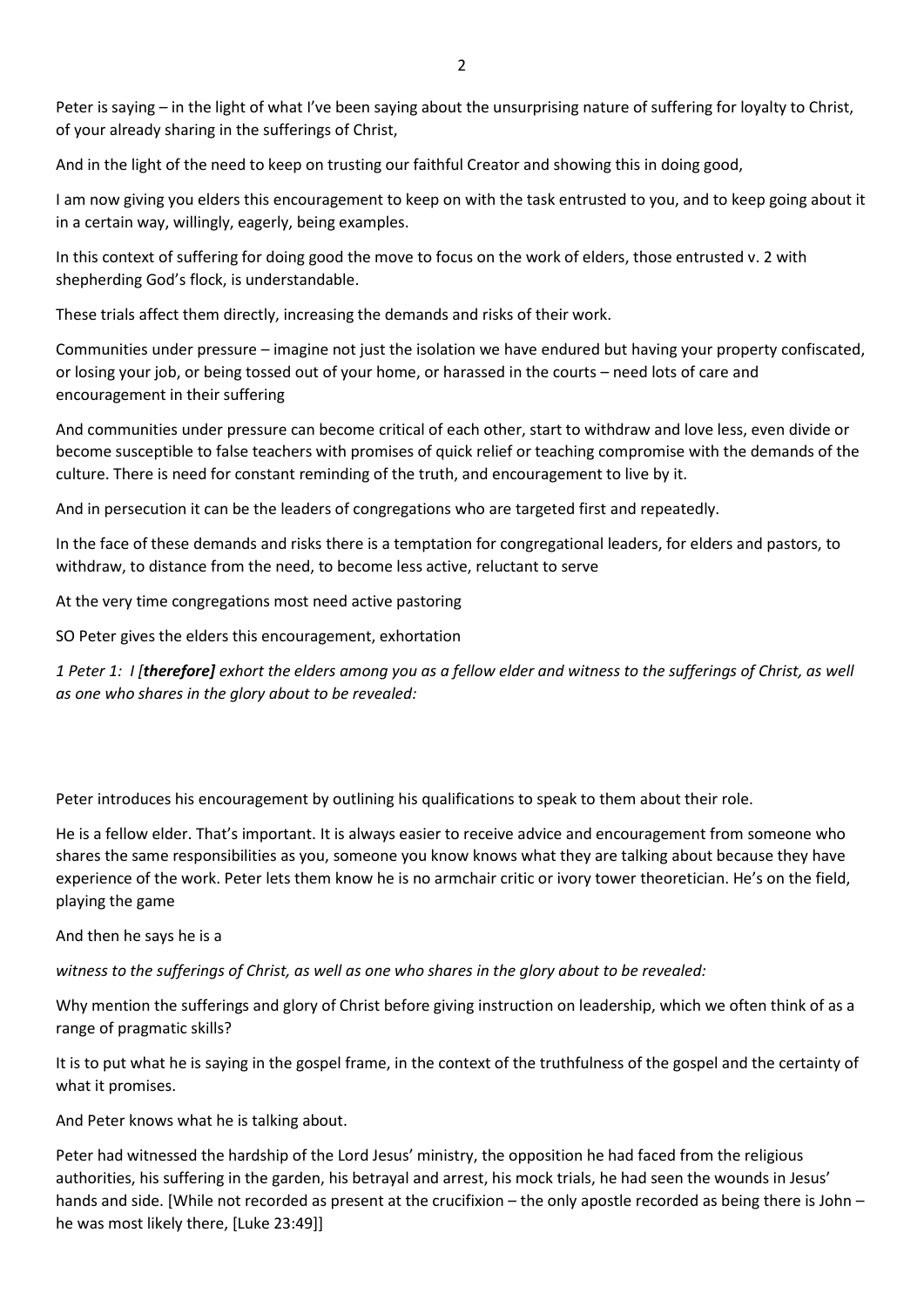And in the light of the need to keep on trusting our faithful Creator and showing this in doing good,

I am now giving you elders this encouragement to keep on with the task entrusted to you, and to keep going about it in a certain way, willingly, eagerly, being examples.

In this context of suffering for doing good the move to focus on the work of elders, those entrusted v. 2 with shepherding God's flock, is understandable.

These trials affect them directly, increasing the demands and risks of their work.

Communities under pressure – imagine not just the isolation we have endured but having your property confiscated, or losing your job, or being tossed out of your home, or harassed in the courts – need lots of care and encouragement in their suffering

And communities under pressure can become critical of each other, start to withdraw and love less, even divide or become susceptible to false teachers with promises of quick relief or teaching compromise with the demands of the culture. There is need for constant reminding of the truth, and encouragement to live by it.

And in persecution it can be the leaders of congregations who are targeted first and repeatedly.

In the face of these demands and risks there is a temptation for congregational leaders, for elders and pastors, to withdraw, to distance from the need, to become less active, reluctant to serve

At the very time congregations most need active pastoring

SO Peter gives the elders this encouragement, exhortation

*1 Peter 1: I [therefore] exhort the elders among you as a fellow elder and witness to the sufferings of Christ, as well as one who shares in the glory about to be revealed:*

Peter introduces his encouragement by outlining his qualifications to speak to them about their role.

He is a fellow elder. That's important. It is always easier to receive advice and encouragement from someone who shares the same responsibilities as you, someone you know knows what they are talking about because they have experience of the work. Peter lets them know he is no armchair critic or ivory tower theoretician. He's on the field, playing the game

And then he says he is a

*witness to the sufferings of Christ, as well as one who shares in the glory about to be revealed:*

Why mention the sufferings and glory of Christ before giving instruction on leadership, which we often think of as a range of pragmatic skills?

It is to put what he is saying in the gospel frame, in the context of the truthfulness of the gospel and the certainty of what it promises.

And Peter knows what he is talking about.

Peter had witnessed the hardship of the Lord Jesus' ministry, the opposition he had faced from the religious authorities, his suffering in the garden, his betrayal and arrest, his mock trials, he had seen the wounds in Jesus' hands and side. [While not recorded as present at the crucifixion – the only apostle recorded as being there is John – he was most likely there, [Luke 23:49]]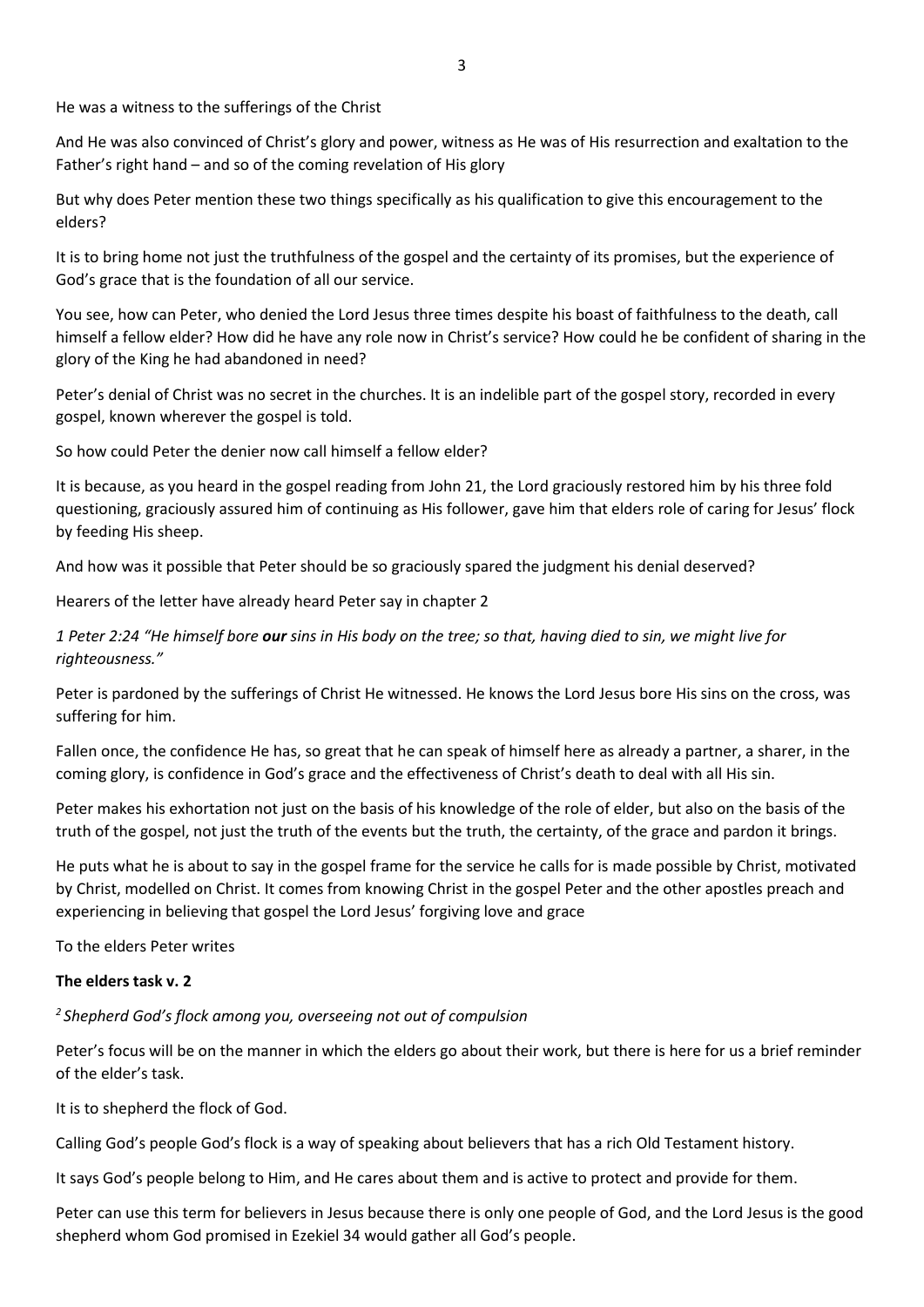He was a witness to the sufferings of the Christ

And He was also convinced of Christ's glory and power, witness as He was of His resurrection and exaltation to the Father's right hand – and so of the coming revelation of His glory

But why does Peter mention these two things specifically as his qualification to give this encouragement to the elders?

It is to bring home not just the truthfulness of the gospel and the certainty of its promises, but the experience of God's grace that is the foundation of all our service.

You see, how can Peter, who denied the Lord Jesus three times despite his boast of faithfulness to the death, call himself a fellow elder? How did he have any role now in Christ's service? How could he be confident of sharing in the glory of the King he had abandoned in need?

Peter's denial of Christ was no secret in the churches. It is an indelible part of the gospel story, recorded in every gospel, known wherever the gospel is told.

So how could Peter the denier now call himself a fellow elder?

It is because, as you heard in the gospel reading from John 21, the Lord graciously restored him by his three fold questioning, graciously assured him of continuing as His follower, gave him that elders role of caring for Jesus' flock by feeding His sheep.

And how was it possible that Peter should be so graciously spared the judgment his denial deserved?

Hearers of the letter have already heard Peter say in chapter 2

*1 Peter 2:24 "He himself bore our sins in His body on the tree; so that, having died to sin, we might live for righteousness."*

Peter is pardoned by the sufferings of Christ He witnessed. He knows the Lord Jesus bore His sins on the cross, was suffering for him.

Fallen once, the confidence He has, so great that he can speak of himself here as already a partner, a sharer, in the coming glory, is confidence in God's grace and the effectiveness of Christ's death to deal with all His sin.

Peter makes his exhortation not just on the basis of his knowledge of the role of elder, but also on the basis of the truth of the gospel, not just the truth of the events but the truth, the certainty, of the grace and pardon it brings.

He puts what he is about to say in the gospel frame for the service he calls for is made possible by Christ, motivated by Christ, modelled on Christ. It comes from knowing Christ in the gospel Peter and the other apostles preach and experiencing in believing that gospel the Lord Jesus' forgiving love and grace

To the elders Peter writes

## **The elders task v. 2**

*2 Shepherd God's flock among you, overseeing not out of compulsion*

Peter's focus will be on the manner in which the elders go about their work, but there is here for us a brief reminder of the elder's task.

It is to shepherd the flock of God.

Calling God's people God's flock is a way of speaking about believers that has a rich Old Testament history.

It says God's people belong to Him, and He cares about them and is active to protect and provide for them.

Peter can use this term for believers in Jesus because there is only one people of God, and the Lord Jesus is the good shepherd whom God promised in Ezekiel 34 would gather all God's people.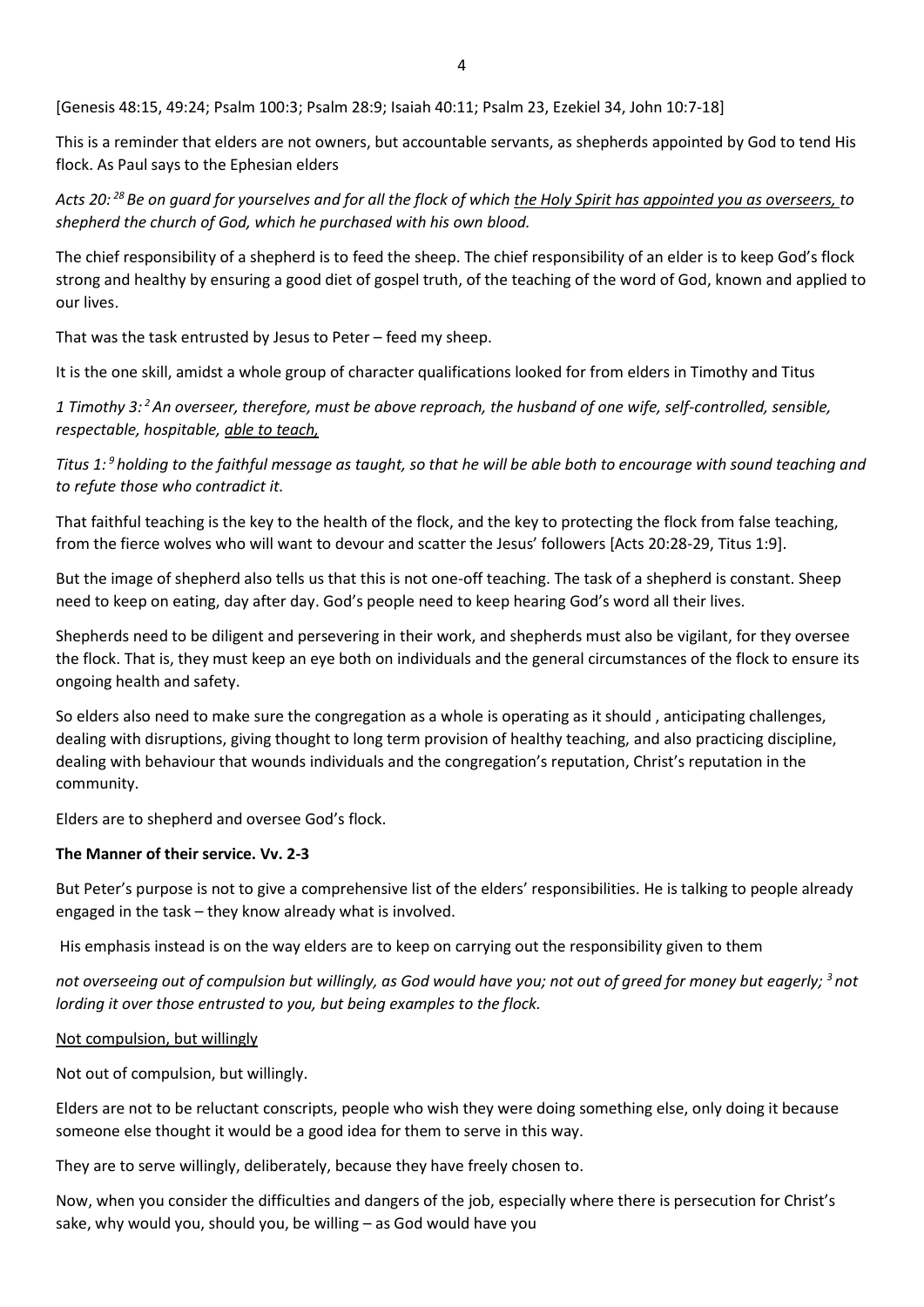[Genesis 48:15, 49:24; Psalm 100:3; Psalm 28:9; Isaiah 40:11; Psalm 23, Ezekiel 34, John 10:7-18]

This is a reminder that elders are not owners, but accountable servants, as shepherds appointed by God to tend His flock. As Paul says to the Ephesian elders

*Acts 20: <sup>28</sup> Be on guard for yourselves and for all the flock of which the Holy Spirit has appointed you as overseers, to shepherd the church of God, which he purchased with his own blood.*

The chief responsibility of a shepherd is to feed the sheep. The chief responsibility of an elder is to keep God's flock strong and healthy by ensuring a good diet of gospel truth, of the teaching of the word of God, known and applied to our lives.

That was the task entrusted by Jesus to Peter – feed my sheep.

It is the one skill, amidst a whole group of character qualifications looked for from elders in Timothy and Titus

*1 Timothy 3: <sup>2</sup>An overseer, therefore, must be above reproach, the husband of one wife, self-controlled, sensible, respectable, hospitable, able to teach,*

*Titus 1: <sup>9</sup> holding to the faithful message as taught, so that he will be able both to encourage with sound teaching and to refute those who contradict it.*

That faithful teaching is the key to the health of the flock, and the key to protecting the flock from false teaching, from the fierce wolves who will want to devour and scatter the Jesus' followers [Acts 20:28-29, Titus 1:9].

But the image of shepherd also tells us that this is not one-off teaching. The task of a shepherd is constant. Sheep need to keep on eating, day after day. God's people need to keep hearing God's word all their lives.

Shepherds need to be diligent and persevering in their work, and shepherds must also be vigilant, for they oversee the flock. That is, they must keep an eye both on individuals and the general circumstances of the flock to ensure its ongoing health and safety.

So elders also need to make sure the congregation as a whole is operating as it should , anticipating challenges, dealing with disruptions, giving thought to long term provision of healthy teaching, and also practicing discipline, dealing with behaviour that wounds individuals and the congregation's reputation, Christ's reputation in the community.

Elders are to shepherd and oversee God's flock.

# **The Manner of their service. Vv. 2-3**

But Peter's purpose is not to give a comprehensive list of the elders' responsibilities. He is talking to people already engaged in the task – they know already what is involved.

His emphasis instead is on the way elders are to keep on carrying out the responsibility given to them

*not overseeing out of compulsion but willingly, as God would have you; not out of greed for money but eagerly; <sup>3</sup> not lording it over those entrusted to you, but being examples to the flock.*

Not compulsion, but willingly

Not out of compulsion, but willingly.

Elders are not to be reluctant conscripts, people who wish they were doing something else, only doing it because someone else thought it would be a good idea for them to serve in this way.

They are to serve willingly, deliberately, because they have freely chosen to.

Now, when you consider the difficulties and dangers of the job, especially where there is persecution for Christ's sake, why would you, should you, be willing – as God would have you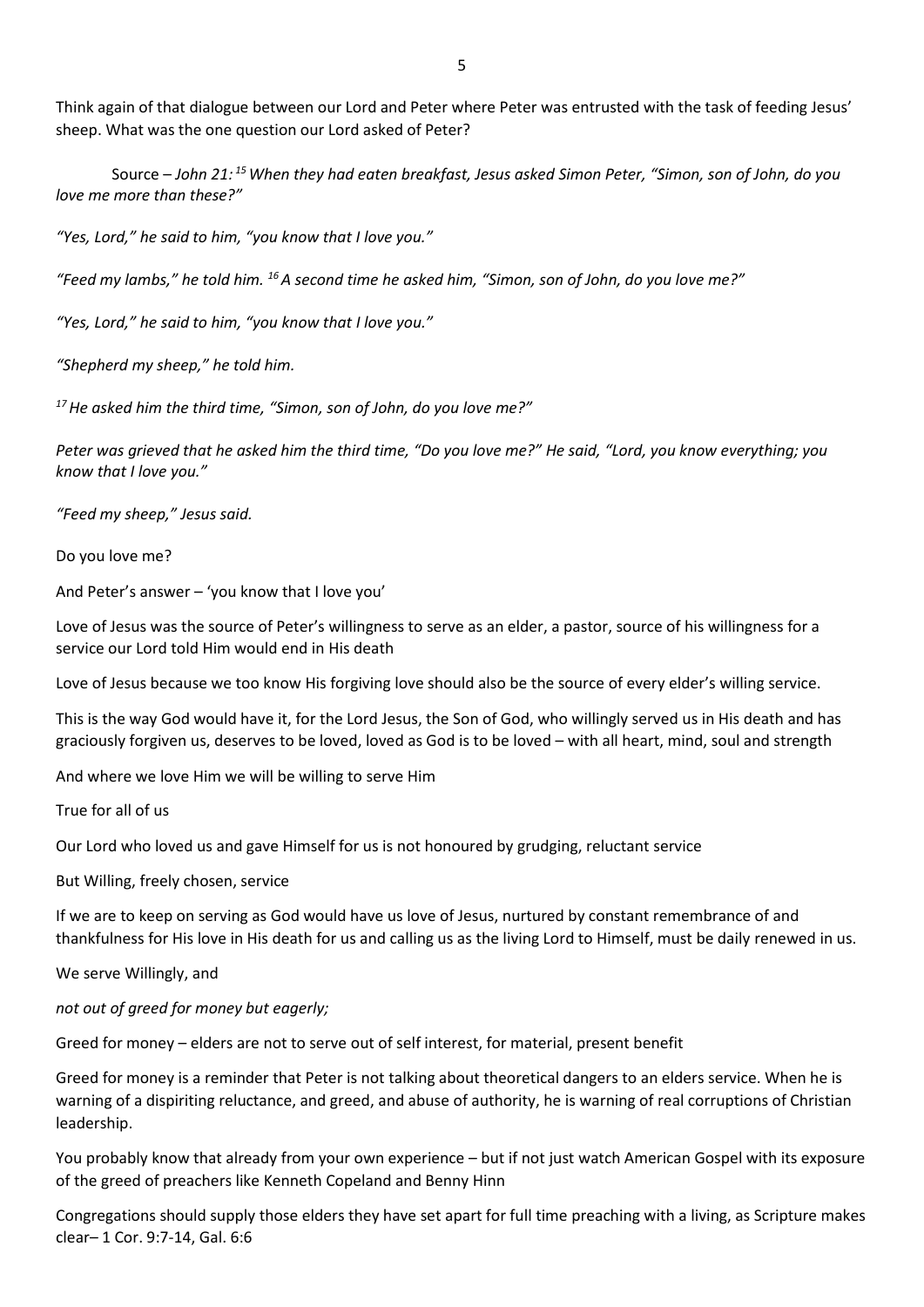Think again of that dialogue between our Lord and Peter where Peter was entrusted with the task of feeding Jesus' sheep. What was the one question our Lord asked of Peter?

Source – *John 21: <sup>15</sup>When they had eaten breakfast, Jesus asked Simon Peter, "Simon, son of John, do you love me more than these?"*

*"Yes, Lord," he said to him, "you know that I love you."*

*"Feed my lambs," he told him. <sup>16</sup>A second time he asked him, "Simon, son of John, do you love me?"*

*"Yes, Lord," he said to him, "you know that I love you."*

*"Shepherd my sheep," he told him.*

*<sup>17</sup>He asked him the third time, "Simon, son of John, do you love me?"*

*Peter was grieved that he asked him the third time, "Do you love me?" He said, "Lord, you know everything; you know that I love you."*

*"Feed my sheep," Jesus said.*

Do you love me?

And Peter's answer – 'you know that I love you'

Love of Jesus was the source of Peter's willingness to serve as an elder, a pastor, source of his willingness for a service our Lord told Him would end in His death

Love of Jesus because we too know His forgiving love should also be the source of every elder's willing service.

This is the way God would have it, for the Lord Jesus, the Son of God, who willingly served us in His death and has graciously forgiven us, deserves to be loved, loved as God is to be loved – with all heart, mind, soul and strength

And where we love Him we will be willing to serve Him

True for all of us

Our Lord who loved us and gave Himself for us is not honoured by grudging, reluctant service

But Willing, freely chosen, service

If we are to keep on serving as God would have us love of Jesus, nurtured by constant remembrance of and thankfulness for His love in His death for us and calling us as the living Lord to Himself, must be daily renewed in us.

We serve Willingly, and

*not out of greed for money but eagerly;*

Greed for money – elders are not to serve out of self interest, for material, present benefit

Greed for money is a reminder that Peter is not talking about theoretical dangers to an elders service. When he is warning of a dispiriting reluctance, and greed, and abuse of authority, he is warning of real corruptions of Christian leadership.

You probably know that already from your own experience – but if not just watch American Gospel with its exposure of the greed of preachers like Kenneth Copeland and Benny Hinn

Congregations should supply those elders they have set apart for full time preaching with a living, as Scripture makes clear– 1 Cor. 9:7-14, Gal. 6:6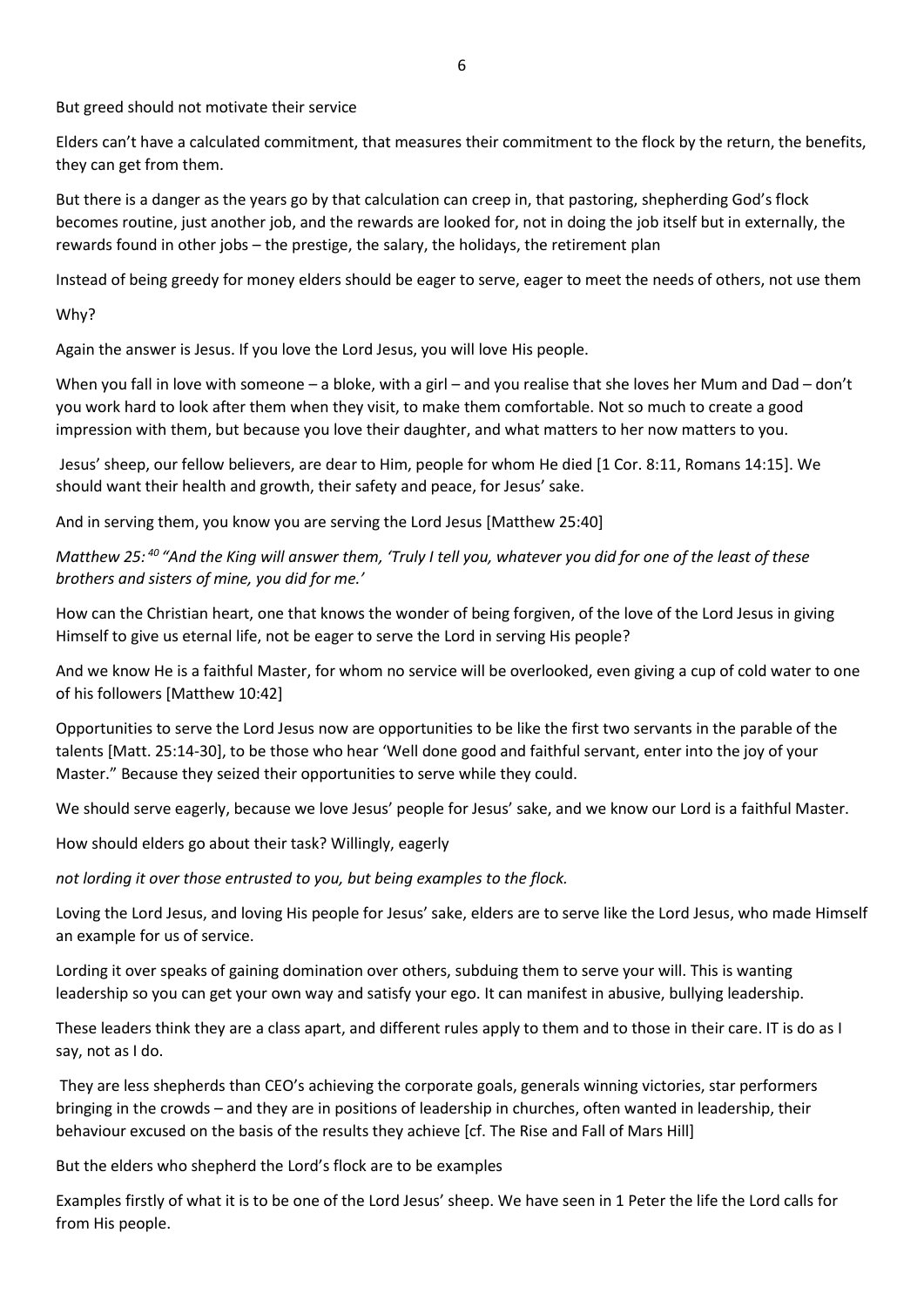But greed should not motivate their service

Elders can't have a calculated commitment, that measures their commitment to the flock by the return, the benefits, they can get from them.

But there is a danger as the years go by that calculation can creep in, that pastoring, shepherding God's flock becomes routine, just another job, and the rewards are looked for, not in doing the job itself but in externally, the rewards found in other jobs – the prestige, the salary, the holidays, the retirement plan

Instead of being greedy for money elders should be eager to serve, eager to meet the needs of others, not use them

Why?

Again the answer is Jesus. If you love the Lord Jesus, you will love His people.

When you fall in love with someone – a bloke, with a girl – and you realise that she loves her Mum and Dad – don't you work hard to look after them when they visit, to make them comfortable. Not so much to create a good impression with them, but because you love their daughter, and what matters to her now matters to you.

Jesus' sheep, our fellow believers, are dear to Him, people for whom He died [1 Cor. 8:11, Romans 14:15]. We should want their health and growth, their safety and peace, for Jesus' sake.

And in serving them, you know you are serving the Lord Jesus [Matthew 25:40]

*Matthew 25: <sup>40</sup> "And the King will answer them, 'Truly I tell you, whatever you did for one of the least of these brothers and sisters of mine, you did for me.'*

How can the Christian heart, one that knows the wonder of being forgiven, of the love of the Lord Jesus in giving Himself to give us eternal life, not be eager to serve the Lord in serving His people?

And we know He is a faithful Master, for whom no service will be overlooked, even giving a cup of cold water to one of his followers [Matthew 10:42]

Opportunities to serve the Lord Jesus now are opportunities to be like the first two servants in the parable of the talents [Matt. 25:14-30], to be those who hear 'Well done good and faithful servant, enter into the joy of your Master." Because they seized their opportunities to serve while they could.

We should serve eagerly, because we love Jesus' people for Jesus' sake, and we know our Lord is a faithful Master.

How should elders go about their task? Willingly, eagerly

*not lording it over those entrusted to you, but being examples to the flock.*

Loving the Lord Jesus, and loving His people for Jesus' sake, elders are to serve like the Lord Jesus, who made Himself an example for us of service.

Lording it over speaks of gaining domination over others, subduing them to serve your will. This is wanting leadership so you can get your own way and satisfy your ego. It can manifest in abusive, bullying leadership.

These leaders think they are a class apart, and different rules apply to them and to those in their care. IT is do as I say, not as I do.

They are less shepherds than CEO's achieving the corporate goals, generals winning victories, star performers bringing in the crowds – and they are in positions of leadership in churches, often wanted in leadership, their behaviour excused on the basis of the results they achieve [cf. The Rise and Fall of Mars Hill]

But the elders who shepherd the Lord's flock are to be examples

Examples firstly of what it is to be one of the Lord Jesus' sheep. We have seen in 1 Peter the life the Lord calls for from His people.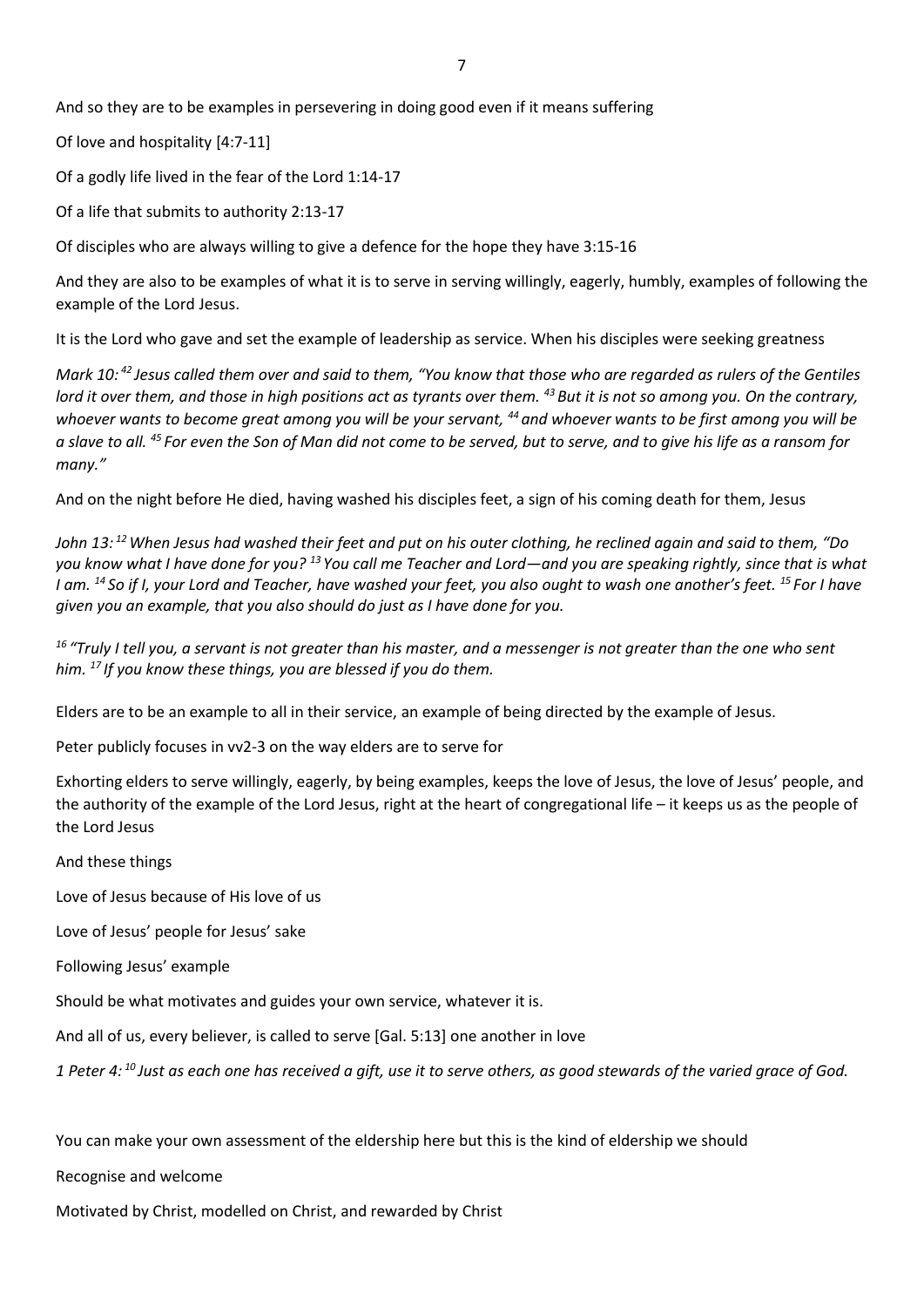And so they are to be examples in persevering in doing good even if it means suffering

Of love and hospitality [4:7-11]

Of a godly life lived in the fear of the Lord 1:14-17

Of a life that submits to authority 2:13-17

Of disciples who are always willing to give a defence for the hope they have 3:15-16

And they are also to be examples of what it is to serve in serving willingly, eagerly, humbly, examples of following the example of the Lord Jesus.

It is the Lord who gave and set the example of leadership as service. When his disciples were seeking greatness

*Mark 10: <sup>42</sup> Jesus called them over and said to them, "You know that those who are regarded as rulers of the Gentiles lord it over them, and those in high positions act as tyrants over them. <sup>43</sup> But it is not so among you. On the contrary, whoever wants to become great among you will be your servant, <sup>44</sup> and whoever wants to be first among you will be a slave to all. <sup>45</sup> For even the Son of Man did not come to be served, but to serve, and to give his life as a ransom for many."*

And on the night before He died, having washed his disciples feet, a sign of his coming death for them, Jesus

*John 13: <sup>12</sup>When Jesus had washed their feet and put on his outer clothing, he reclined again and said to them, "Do you know what I have done for you? <sup>13</sup> You call me Teacher and Lord—and you are speaking rightly, since that is what I am. <sup>14</sup> So if I, your Lord and Teacher, have washed your feet, you also ought to wash one another's feet. <sup>15</sup> For I have given you an example, that you also should do just as I have done for you.*

*<sup>16</sup> "Truly I tell you, a servant is not greater than his master, and a messenger is not greater than the one who sent him. <sup>17</sup> If you know these things, you are blessed if you do them.*

Elders are to be an example to all in their service, an example of being directed by the example of Jesus.

Peter publicly focuses in vv2-3 on the way elders are to serve for

Exhorting elders to serve willingly, eagerly, by being examples, keeps the love of Jesus, the love of Jesus' people, and the authority of the example of the Lord Jesus, right at the heart of congregational life – it keeps us as the people of the Lord Jesus

#### And these things

Love of Jesus because of His love of us

Love of Jesus' people for Jesus' sake

Following Jesus' example

Should be what motivates and guides your own service, whatever it is.

And all of us, every believer, is called to serve [Gal. 5:13] one another in love

*1 Peter 4: <sup>10</sup> Just as each one has received a gift, use it to serve others, as good stewards of the varied grace of God.*

You can make your own assessment of the eldership here but this is the kind of eldership we should

Recognise and welcome

Motivated by Christ, modelled on Christ, and rewarded by Christ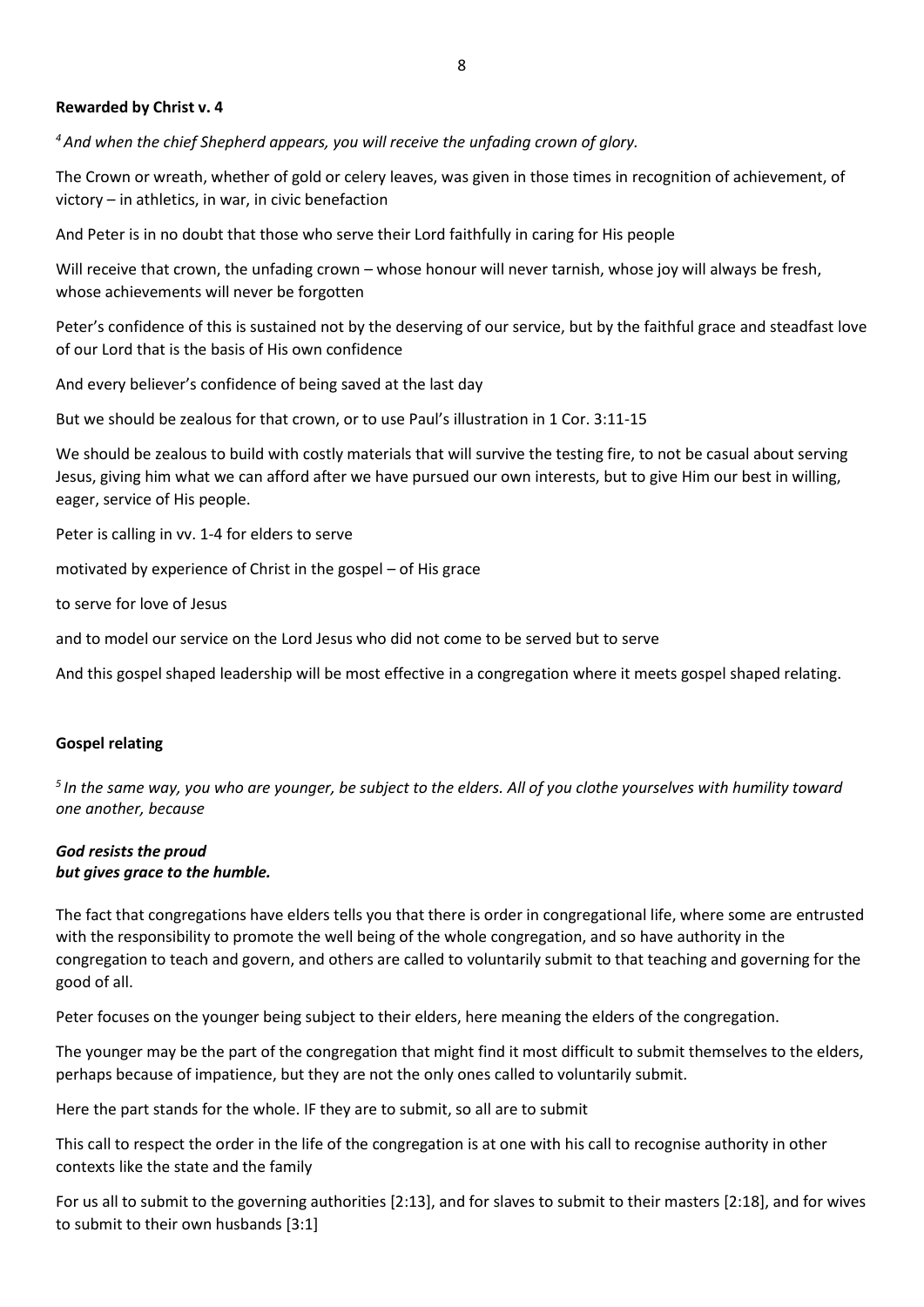## **Rewarded by Christ v. 4**

*<sup>4</sup>And when the chief Shepherd appears, you will receive the unfading crown of glory.*

The Crown or wreath, whether of gold or celery leaves, was given in those times in recognition of achievement, of victory – in athletics, in war, in civic benefaction

And Peter is in no doubt that those who serve their Lord faithfully in caring for His people

Will receive that crown, the unfading crown – whose honour will never tarnish, whose joy will always be fresh, whose achievements will never be forgotten

Peter's confidence of this is sustained not by the deserving of our service, but by the faithful grace and steadfast love of our Lord that is the basis of His own confidence

And every believer's confidence of being saved at the last day

But we should be zealous for that crown, or to use Paul's illustration in 1 Cor. 3:11-15

We should be zealous to build with costly materials that will survive the testing fire, to not be casual about serving Jesus, giving him what we can afford after we have pursued our own interests, but to give Him our best in willing, eager, service of His people.

Peter is calling in vv. 1-4 for elders to serve

motivated by experience of Christ in the gospel – of His grace

to serve for love of Jesus

and to model our service on the Lord Jesus who did not come to be served but to serve

And this gospel shaped leadership will be most effective in a congregation where it meets gospel shaped relating.

#### **Gospel relating**

*5 In the same way, you who are younger, be subject to the elders. All of you clothe yourselves with humility toward one another, because*

## *God resists the proud but gives grace to the humble.*

The fact that congregations have elders tells you that there is order in congregational life, where some are entrusted with the responsibility to promote the well being of the whole congregation, and so have authority in the congregation to teach and govern, and others are called to voluntarily submit to that teaching and governing for the good of all.

Peter focuses on the younger being subject to their elders, here meaning the elders of the congregation.

The younger may be the part of the congregation that might find it most difficult to submit themselves to the elders, perhaps because of impatience, but they are not the only ones called to voluntarily submit.

Here the part stands for the whole. IF they are to submit, so all are to submit

This call to respect the order in the life of the congregation is at one with his call to recognise authority in other contexts like the state and the family

For us all to submit to the governing authorities [2:13], and for slaves to submit to their masters [2:18], and for wives to submit to their own husbands [3:1]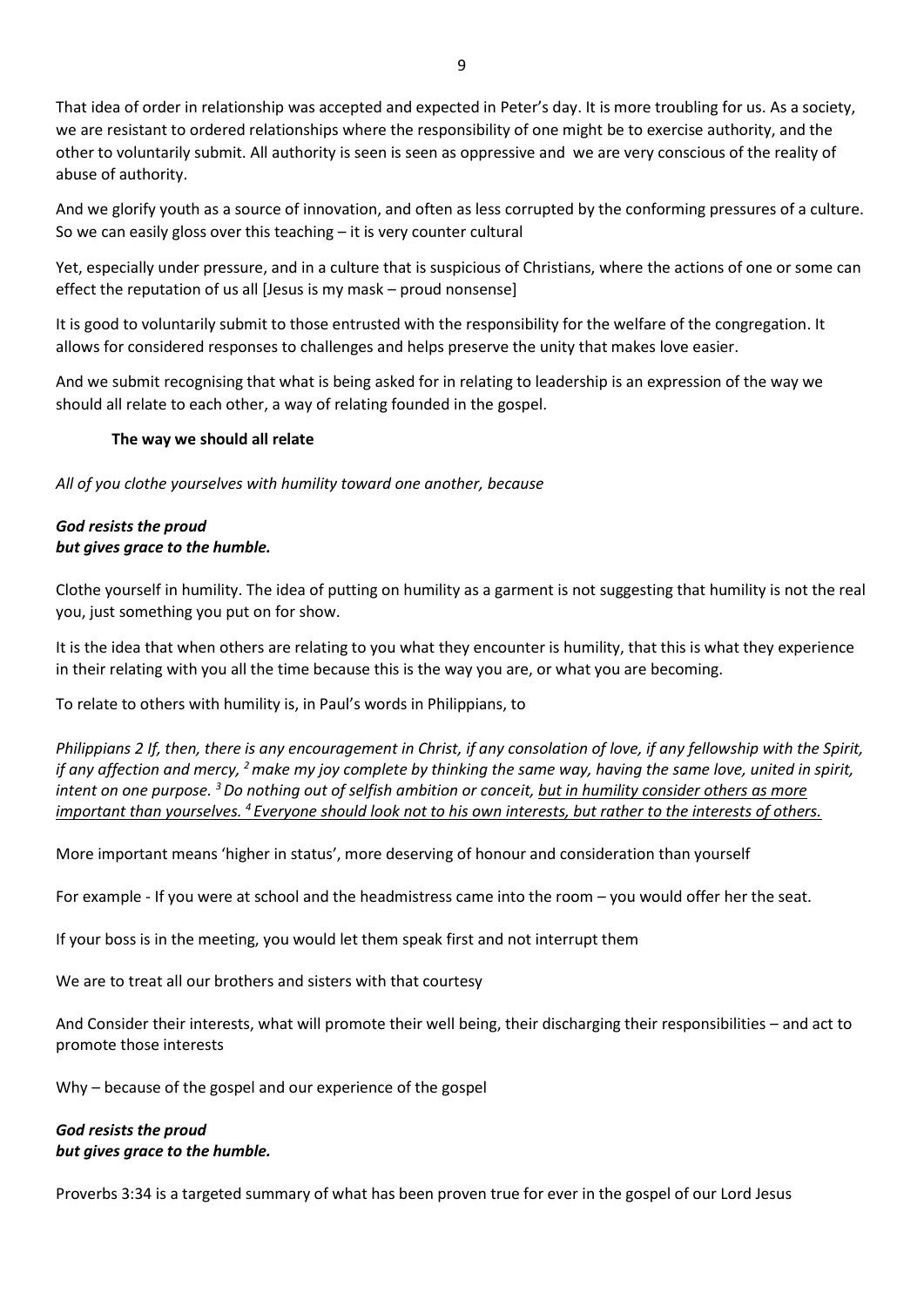That idea of order in relationship was accepted and expected in Peter's day. It is more troubling for us. As a society, we are resistant to ordered relationships where the responsibility of one might be to exercise authority, and the other to voluntarily submit. All authority is seen is seen as oppressive and we are very conscious of the reality of abuse of authority.

And we glorify youth as a source of innovation, and often as less corrupted by the conforming pressures of a culture. So we can easily gloss over this teaching – it is very counter cultural

Yet, especially under pressure, and in a culture that is suspicious of Christians, where the actions of one or some can effect the reputation of us all [Jesus is my mask – proud nonsense]

It is good to voluntarily submit to those entrusted with the responsibility for the welfare of the congregation. It allows for considered responses to challenges and helps preserve the unity that makes love easier.

And we submit recognising that what is being asked for in relating to leadership is an expression of the way we should all relate to each other, a way of relating founded in the gospel.

## **The way we should all relate**

*All of you clothe yourselves with humility toward one another, because*

## *God resists the proud but gives grace to the humble.*

Clothe yourself in humility. The idea of putting on humility as a garment is not suggesting that humility is not the real you, just something you put on for show.

It is the idea that when others are relating to you what they encounter is humility, that this is what they experience in their relating with you all the time because this is the way you are, or what you are becoming.

To relate to others with humility is, in Paul's words in Philippians, to

*Philippians 2 If, then, there is any encouragement in Christ, if any consolation of love, if any fellowship with the Spirit, if any affection and mercy, <sup>2</sup>make my joy complete by thinking the same way, having the same love, united in spirit, intent on one purpose. <sup>3</sup>Do nothing out of selfish ambition or conceit, but in humility consider others as more important than yourselves. <sup>4</sup> Everyone should look not to his own interests, but rather to the interests of others.*

More important means 'higher in status', more deserving of honour and consideration than yourself

For example - If you were at school and the headmistress came into the room – you would offer her the seat.

If your boss is in the meeting, you would let them speak first and not interrupt them

We are to treat all our brothers and sisters with that courtesy

And Consider their interests, what will promote their well being, their discharging their responsibilities – and act to promote those interests

Why – because of the gospel and our experience of the gospel

# *God resists the proud but gives grace to the humble.*

Proverbs 3:34 is a targeted summary of what has been proven true for ever in the gospel of our Lord Jesus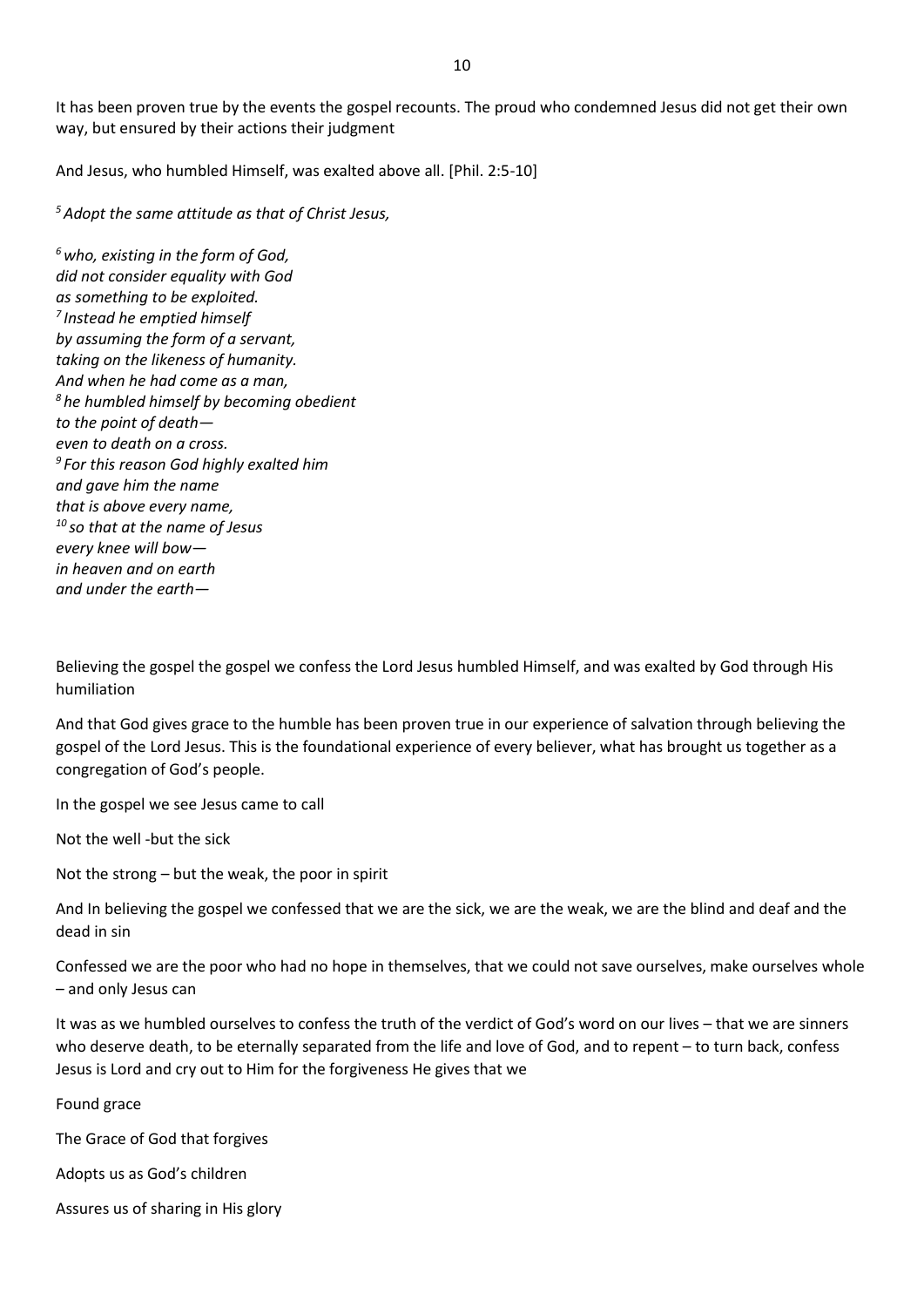It has been proven true by the events the gospel recounts. The proud who condemned Jesus did not get their own way, but ensured by their actions their judgment

And Jesus, who humbled Himself, was exalted above all. [Phil. 2:5-10]

*<sup>5</sup>Adopt the same attitude as that of Christ Jesus,*

*<sup>6</sup>who, existing in the form of God, did not consider equality with God as something to be exploited. 7 Instead he emptied himself by assuming the form of a servant, taking on the likeness of humanity. And when he had come as a man, <sup>8</sup> he humbled himself by becoming obedient to the point of death even to death on a cross. 9 For this reason God highly exalted him and gave him the name that is above every name, <sup>10</sup> so that at the name of Jesus every knee will bow in heaven and on earth and under the earth—*

Believing the gospel the gospel we confess the Lord Jesus humbled Himself, and was exalted by God through His humiliation

And that God gives grace to the humble has been proven true in our experience of salvation through believing the gospel of the Lord Jesus. This is the foundational experience of every believer, what has brought us together as a congregation of God's people.

In the gospel we see Jesus came to call

Not the well -but the sick

Not the strong – but the weak, the poor in spirit

And In believing the gospel we confessed that we are the sick, we are the weak, we are the blind and deaf and the dead in sin

Confessed we are the poor who had no hope in themselves, that we could not save ourselves, make ourselves whole – and only Jesus can

It was as we humbled ourselves to confess the truth of the verdict of God's word on our lives – that we are sinners who deserve death, to be eternally separated from the life and love of God, and to repent – to turn back, confess Jesus is Lord and cry out to Him for the forgiveness He gives that we

Found grace

The Grace of God that forgives

Adopts us as God's children

Assures us of sharing in His glory